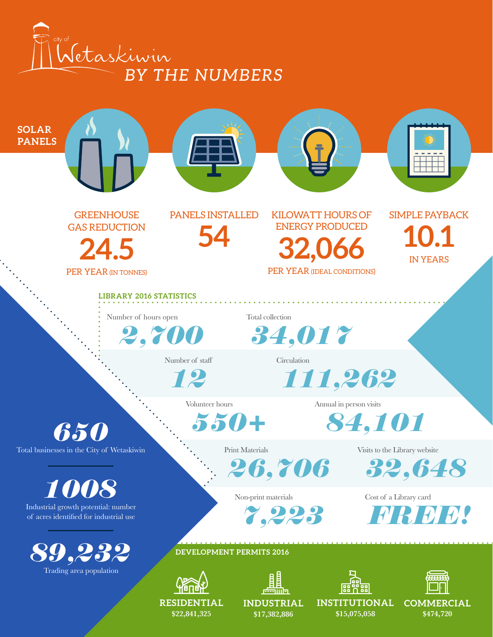



**\$22,841,325**

**\$17,382,886**

**\$15,075,058**

**\$474,720**